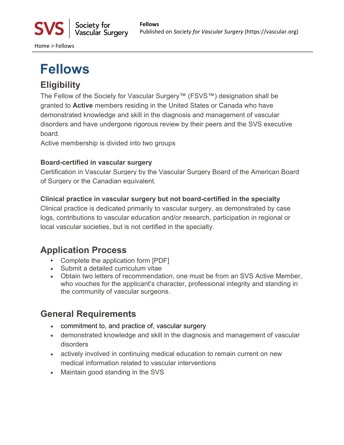Home > Fellows

# **Fellows**

## **Eligibility**

The Fellow of the Society for Vascular Surgery™ (FSVS™) designation shall be granted to **Active** members residing in the United States or Canada who have demonstrated knowledge and skill in the diagnosis and management of vascular disorders and have undergone rigorous review by their peers and the SVS executive board.

Active membership is divided into two groups

#### **Board-certified in vascular surgery**

Certification in Vascular Surgery by the Vascular Surgery Board of the American Board of Surgery or the Canadian equivalent.

#### **Clinical practice in vascular surgery but not board-certified in the specialty**

Clinical practice is dedicated primarily to vascular surgery, as demonstrated by case logs, contributions to vascular education and/or research, participation in regional or local vascular societies, but is not certified in the specialty.

## **Application Process**

- Complete the application form [PDF]
- Submit a detailed curriculum vitae
- Obtain two letters of recommendation, one must be from an SVS Active Member, who vouches for the applicant's character, professional integrity and standing in the community of vascular surgeons.

### **General Requirements**

- commitment to, and practice of, vascular surgery
- demonstrated knowledge and skill in the diagnosis and management of vascular disorders
- actively involved in continuing medical education to remain current on new medical information related to vascular interventions
- Maintain good standing in the SVS